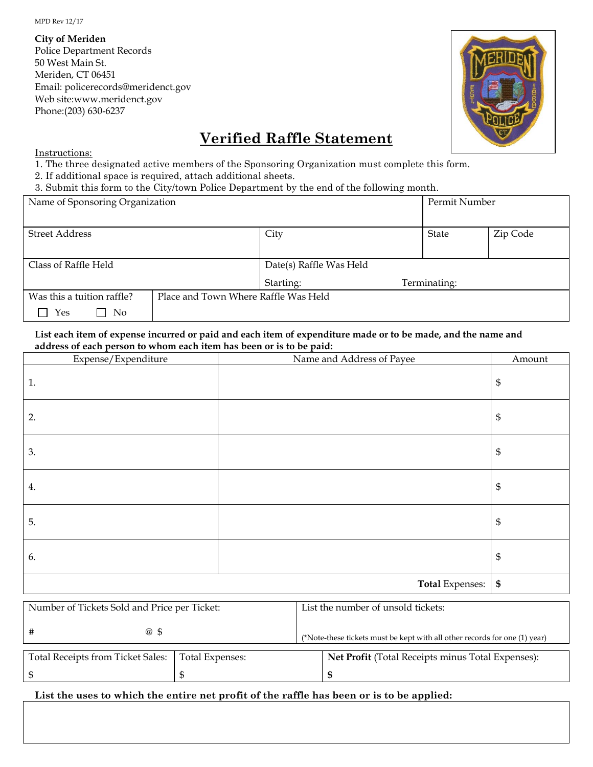MPD Rev 12/17

**City of Meriden** Police Department Records 50 West Main St. Meriden, CT 06451 Email: policerecords@meridenct.gov Web site:www.meridenct.gov Phone:(203) 630-6237



# **Verified Raffle Statement**

Instructions:

1. The three designated active members of the Sponsoring Organization must complete this form.

2. If additional space is required, attach additional sheets.

3. Submit this form to the City/town Police Department by the end of the following month.

| Name of Sponsoring Organization |                                      |                         | Permit Number |              |          |
|---------------------------------|--------------------------------------|-------------------------|---------------|--------------|----------|
|                                 |                                      |                         |               |              |          |
| <b>Street Address</b>           |                                      | City                    |               | State        | Zip Code |
|                                 |                                      |                         |               |              |          |
| Class of Raffle Held            |                                      | Date(s) Raffle Was Held |               |              |          |
|                                 |                                      | Starting:               |               | Terminating: |          |
| Was this a tuition raffle?      | Place and Town Where Raffle Was Held |                         |               |              |          |
| Yes<br>No.                      |                                      |                         |               |              |          |

**List each item of expense incurred or paid and each item of expenditure made or to be made, and the name and address of each person to whom each item has been or is to be paid:**

| Expense/Expenditure | Name and Address of Payee | Amount                     |
|---------------------|---------------------------|----------------------------|
| 1.                  |                           | $\boldsymbol{\mathsf{\$}}$ |
| 2.                  |                           | $\mathbb{S}$               |
| 3.                  |                           | $\boldsymbol{\mathsf{S}}$  |
| 4.                  |                           | $\boldsymbol{\mathsf{S}}$  |
| 5.                  |                           | $\boldsymbol{\mathsf{S}}$  |
| 6.                  |                           | $\mathbb{S}$               |
|                     | Total Expenses:   \$      |                            |

| Number of Tickets Sold and Price per Ticket: |                 | List the number of unsold tickets: |                                                                            |  |
|----------------------------------------------|-----------------|------------------------------------|----------------------------------------------------------------------------|--|
| $\omega$ \$                                  |                 |                                    | (*Note-these tickets must be kept with all other records for one (1) year) |  |
| <b>Total Receipts from Ticket Sales:</b>     | Total Expenses: |                                    | <b>Net Profit (Total Receipts minus Total Expenses):</b>                   |  |
|                                              |                 |                                    |                                                                            |  |

# **List the uses to which the entire net profit of the raffle has been or is to be applied:**